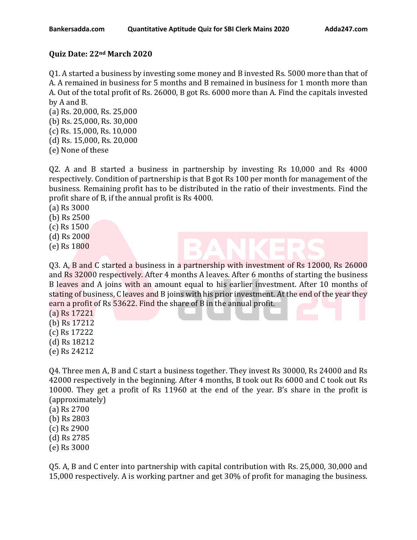## **Quiz Date: 22nd March 2020**

Q1. A started a business by investing some money and B invested Rs. 5000 more than that of A. A remained in business for 5 months and B remained in business for 1 month more than A. Out of the total profit of Rs. 26000, B got Rs. 6000 more than A. Find the capitals invested by A and B.

- (a) Rs. 20,000, Rs. 25,000 (b) Rs. 25,000, Rs. 30,000 (c) Rs. 15,000, Rs. 10,000 (d) Rs. 15,000, Rs. 20,000
- (e) None of these

Q2. A and B started a business in partnership by investing Rs 10,000 and Rs 4000 respectively. Condition of partnership is that B got Rs 100 per month for management of the business. Remaining profit has to be distributed in the ratio of their investments. Find the profit share of B, if the annual profit is Rs 4000.

(a) Rs 3000

- (b) Rs 2500
- (c) Rs 1500
- (d) Rs 2000
- (e) Rs 1800

Q3. A, B and C started a business in a partnership with investment of Rs 12000, Rs 26000 and Rs 32000 respectively. After 4 months A leaves. After 6 months of starting the business B leaves and A joins with an amount equal to his earlier investment. After 10 months of stating of business, C leaves and B joins with his prior investment. At the end of the year they earn a profit of Rs 53622. Find the share of B in the annual profit.

(a) Rs 17221

- (b) Rs 17212
- (c) Rs 17222
- (d) Rs 18212
- (e) Rs 24212

Q4. Three men A, B and C start a business together. They invest Rs 30000, Rs 24000 and Rs 42000 respectively in the beginning. After 4 months, B took out Rs 6000 and C took out Rs 10000. They get a profit of Rs 11960 at the end of the year. B's share in the profit is (approximately)

(a) Rs 2700 (b) Rs 2803 (c) Rs 2900 (d) Rs 2785 (e) Rs 3000

Q5. A, B and C enter into partnership with capital contribution with Rs. 25,000, 30,000 and 15,000 respectively. A is working partner and get 30% of profit for managing the business.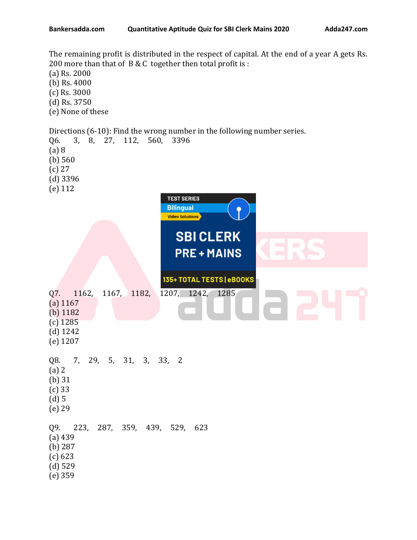The remaining profit is distributed in the respect of capital. At the end of a year A gets Rs. 200 more than that of B & C together then total profit is : (a) Rs. 2000 (b) Rs. 4000 (c) Rs. 3000 (d) Rs. 3750 (e) None of these Directions (6-10): Find the wrong number in the following number series. Q6. 3, 8, 27, 112, 560, 3396 (a) 8 (b) 560 (c) 27 (d) 3396 (e) 112 **TEST SERIES Bilingual Video Solutions SBICLERK PRE+MAINS** 135+ TOTAL TESTS | eBOOKS Q7. 1162, 1167, 1182, 1207, 1242, 1285 (a) 1167 (b) 1182 (c) 1285 (d) 1242 (e) 1207 Q8. 7, 29, 5, 31, 3, 33, 2 (a) 2 (b) 31 (c) 33 (d) 5 (e) 29 Q9. 223, 287, 359, 439, 529, 623 (a) 439 (b) 287 (c) 623 (d) 529 (e) 359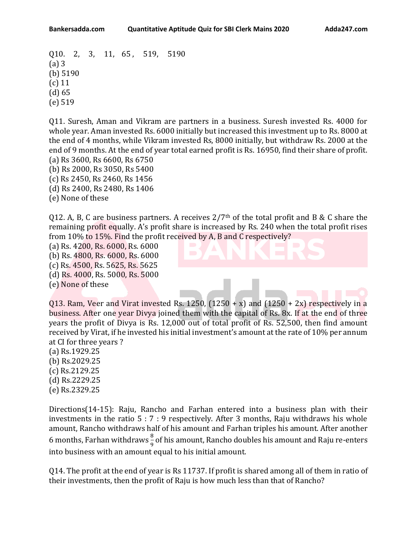Q10. 2, 3, 11, 65 , 519, 5190 (a) 3 (b) 5190 (c) 11 (d) 65 (e) 519

Q11. Suresh, Aman and Vikram are partners in a business. Suresh invested Rs. 4000 for whole year. Aman invested Rs. 6000 initially but increased this investment up to Rs. 8000 at the end of 4 months, while Vikram invested Rs, 8000 initially, but withdraw Rs. 2000 at the end of 9 months. At the end of year total earned profit is Rs. 16950, find their share of profit.

(a) Rs 3600, Rs 6600, Rs 6750 (b) Rs 2000, Rs 3050, Rs 5400 (c) Rs 2450, Rs 2460, Rs 1456 (d) Rs 2400, Rs 2480, Rs 1406 (e) None of these

Q12. A, B, C are business partners. A receives  $2/7<sup>th</sup>$  of the total profit and B & C share the remaining profit equally. A's profit share is increased by Rs. 240 when the total profit rises from 10% to 15%. Find the profit received by A, B and C respectively?

(a) Rs. 4200, Rs. 6000, Rs. 6000 (b) Rs. 4800, Rs. 6000, Rs. 6000 (c) Rs. 4500, Rs. 5625, Rs. 5625 (d) Rs. 4000, Rs. 5000, Rs. 5000 (e) None of these

Q13. Ram, Veer and Virat invested Rs. 1250,  $(1250 + x)$  and  $(1250 + 2x)$  respectively in a business. After one year Divya joined them with the capital of Rs. 8x. If at the end of three years the profit of Divya is Rs. 12,000 out of total profit of Rs. 52,500, then find amount received by Virat, if he invested his initial investment's amount at the rate of 10% per annum at CI for three years ?

(a) Rs.1929.25 (b) Rs.2029.25 (c) Rs.2129.25 (d) Rs.2229.25 (e) Rs.2329.25

Directions(14-15): Raju, Rancho and Farhan entered into a business plan with their investments in the ratio 5 : 7 : 9 respectively. After 3 months, Raju withdraws his whole amount, Rancho withdraws half of his amount and Farhan triples his amount. After another 6 months, Farhan withdraws  $\frac{8}{9}$  of his amount, Rancho doubles his amount and Raju re-enters into business with an amount equal to his initial amount.

Q14. The profit at the end of year is Rs 11737. If profit is shared among all of them in ratio of their investments, then the profit of Raju is how much less than that of Rancho?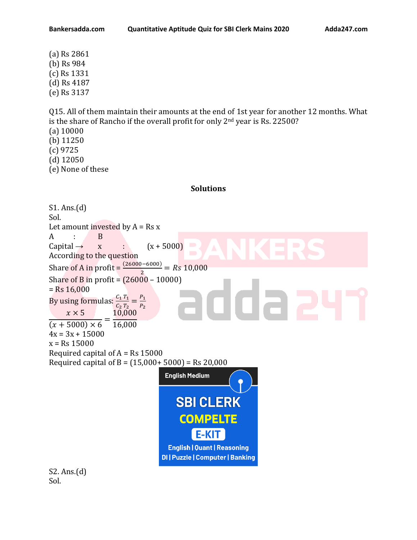(a) Rs 2861 (b) Rs 984 (c) Rs 1331 (d) Rs 4187 (e) Rs 3137

Q15. All of them maintain their amounts at the end of 1st year for another 12 months. What is the share of Rancho if the overall profit for only 2<sup>nd</sup> year is Rs. 22500? (a) 10000 (b) 11250 (c) 9725 (d) 12050 (e) None of these

## **Solutions**



Sol.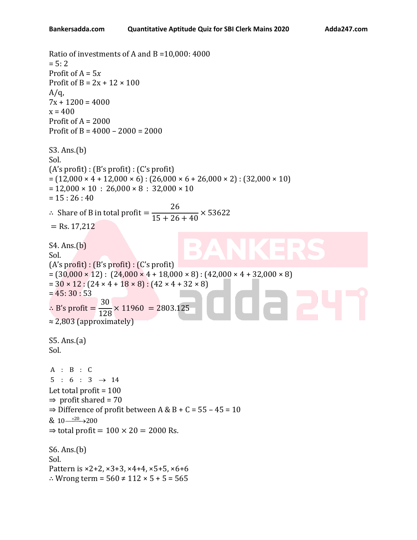```
Ratio of investments of A and B =10,000: 4000
= 5: 2Profit of A = 5xProfit of B = 2x + 12 \times 100A/a.
7x + 1200 = 4000x = 400Profit of A = 2000Profit of B = 4000 – 2000 = 2000
S3. Ans.(b)
Sol.
(A's profit) : (B's profit) : (C's profit) 
= (12,000 \times 4 + 12,000 \times 6): (26,000 \times 6 + 26,000 \times 2): (32,000 \times 10)= 12,000 \times 10 : 26,000 \times 8 : 32,000 \times 10= 15 : 26 : 40∴ Share of B in total profit =26
                                   15 + 26 + 40× 53622
= Rs. 17,212
S4. Ans.(b)
Sol.
(A's profit) : (B's profit) : (C's profit) 
= (30,000 \times 12): (24,000 \times 4 + 18,000 \times 8): (42,000 \times 4 + 32,000 \times 8)= 30 \times 12 : (24 \times 4 + 18 \times 8) : (42 \times 4 + 32 \times 8)= 45:30:53∴ B's profit =
                 30
                 128
                      \times 11960 = 2803.125
≈ 2,803 (approximately) 
S5. Ans.(a)
Sol.
A : B : C5 : 6 : 3 \rightarrow 14Let total profit = 100\Rightarrow profit shared = 70
\Rightarrow Difference of profit between A & B + C = 55 - 45 = 10
& 10 \xrightarrow{\times 20} 200\Rightarrow total profit = 100 \times 20 = 2000 Rs.
S6. Ans.(b)
Sol.
Pattern is ×2+2, ×3+3, ×4+4, ×5+5, ×6+6
∴ Wrong term = 560 \neq 112 \times 5 + 5 = 565
```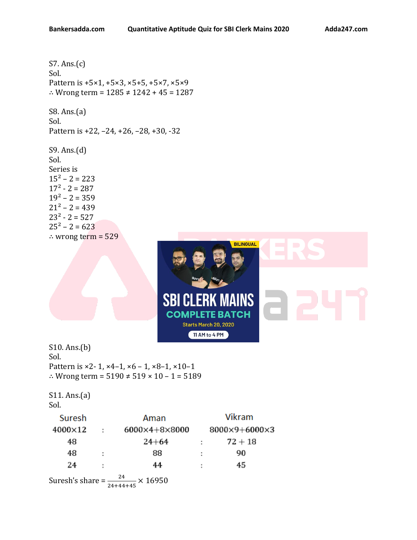S7. Ans.(c) Sol. Pattern is +5×1, +5×3, ×5+5, +5×7, ×5×9 ∴ Wrong term = 1285 ≠ 1242 + 45 = 1287 S8. Ans.(a) Sol.

Pattern is +22, –24, +26, –28, +30, -32

S9. Ans.(d) Sol. Series is  $15^2 - 2 = 223$  $17^2 - 2 = 287$  $19^2 - 2 = 359$  $21^2 - 2 = 439$  $23^2 - 2 = 527$  $25^2 - 2 = 623$ ∴ wrong term = 529



S10. Ans.(b) Sol. Pattern is ×2-1, ×4-1, ×6 - 1, ×8-1, ×10-1 ∴ Wrong term =  $5190 \neq 519 \times 10 - 1 = 5189$ 

```
S11. Ans.(a)
Sol.
```

| Suresh  |   | Aman                      |   | <b>Vikram</b> |
|---------|---|---------------------------|---|---------------|
| 4000×12 |   | $6000\times4+8\times8000$ |   | 8000×9+6000×3 |
| 48      |   | $24 + 64$                 | ÷ | $72 + 18$     |
| 48      | ÷ | 88                        | ÷ | 90            |
| 24      | ÷ | 44                        | ÷ | 45            |
|         |   | 24<br>$\cdot$ . 1/050     |   |               |

Suresh's share =  $\frac{24}{24+44+45} \times 16950$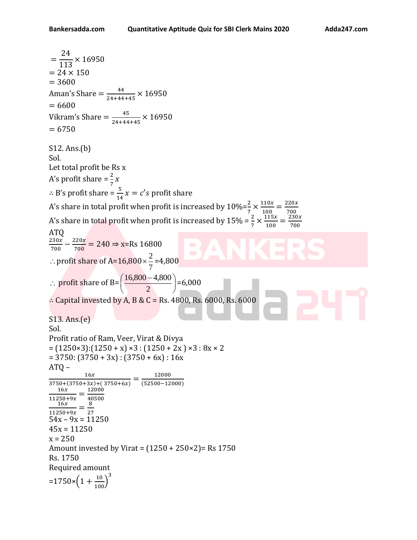```
=
     24
    113
           × 16950
= 24 \times 150= 3600Aman's Share =\frac{44}{34444}\frac{44}{24+44+45} × 16950
= 6600Vikram's Share =\frac{45}{34444}\frac{45}{24+44+45} × 16950
= 6750S12. Ans.(b) 
Sol. 
Let total profit be Rs x
A's profit share =\frac{2}{7}x\therefore B's profit share = \frac{5}{14}x = c's profit share
A's share in total profit when profit is increased by 10\% = \frac{2}{7} \times \frac{110x}{100}\frac{110x}{100} = \frac{220x}{700}A's share in total profit when profit is increased by 15\% = \frac{2}{7} \times \frac{115x}{100} = \frac{230}{70}\frac{115x}{100} = \frac{230x}{700}700
ATQ
230x\frac{230x}{700} - \frac{220x}{700}\frac{220x}{700} = 240 \Rightarrow x=Rs 16800
 \therefore profit share of A=16,800 \times\frac{2}{7}\times \frac{2}{5} = 4,800: profit share of B=
                                                     I
                                                    J
                              \left( \frac{16,800 - 4,800}{\sqrt{100}} \right)l
                              (16,800 -2
                                \left( \frac{16,800 - 4,800}{0} \right) = 6,000∴ Capital invested by A, B & C = Rs. 4800, Rs. 6000, Rs. 6000
S13. Ans.(e)
Sol. 
Profit ratio of Ram, Veer, Virat & Divya 
= (1250 \times 3):(1250 + x) \times 3:(1250 + 2x) \times 3:8x \times 2= 3750: (3750 + 3x): (3750 + 6x): 16x
ATQ –
               16x\frac{16x}{3750+(3750+3x)+(3750+6x)} = \frac{12000}{(52500-12)}(52500−12000)
    16x\frac{16x}{11250+9x} = \frac{12000}{40500}40500
   16x\frac{16x}{11250+9x} = \frac{6}{27}8
54x - 9x = 1125045x = 11250x = 250Amount invested by Virat = (1250 + 250 \times 2) = Rs 1750
Rs. 1750
Required amount
=1750\times\left(1+\frac{10}{100}\right)^3
```